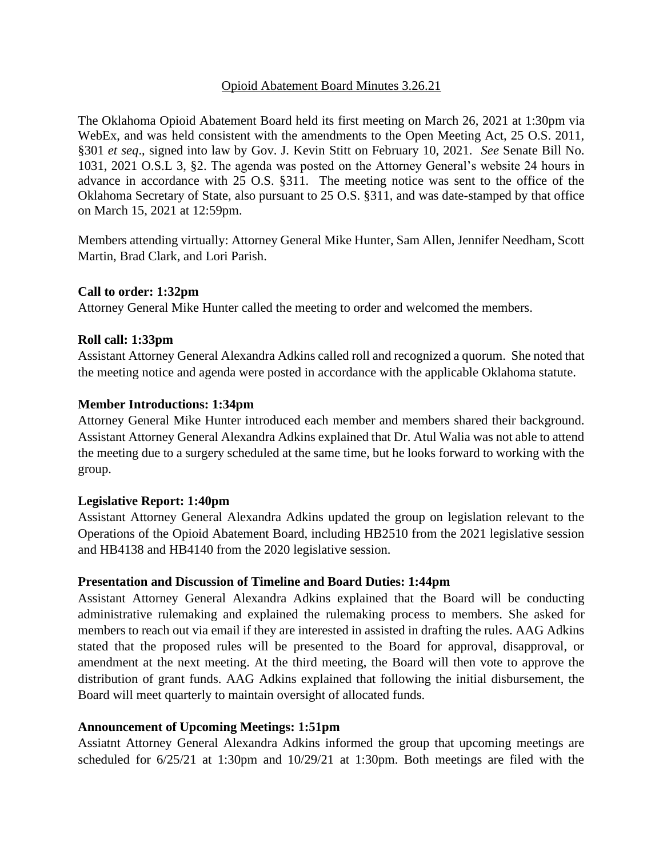## Opioid Abatement Board Minutes 3.26.21

The Oklahoma Opioid Abatement Board held its first meeting on March 26, 2021 at 1:30pm via WebEx, and was held consistent with the amendments to the Open Meeting Act, 25 O.S. 2011, §301 *et seq*., signed into law by Gov. J. Kevin Stitt on February 10, 2021. *See* Senate Bill No. 1031, 2021 O.S.L 3, §2. The agenda was posted on the Attorney General's website 24 hours in advance in accordance with 25 O.S. §311. The meeting notice was sent to the office of the Oklahoma Secretary of State, also pursuant to 25 O.S. §311, and was date-stamped by that office on March 15, 2021 at 12:59pm.

Members attending virtually: Attorney General Mike Hunter, Sam Allen, Jennifer Needham, Scott Martin, Brad Clark, and Lori Parish.

## **Call to order: 1:32pm**

Attorney General Mike Hunter called the meeting to order and welcomed the members.

## **Roll call: 1:33pm**

Assistant Attorney General Alexandra Adkins called roll and recognized a quorum. She noted that the meeting notice and agenda were posted in accordance with the applicable Oklahoma statute.

#### **Member Introductions: 1:34pm**

Attorney General Mike Hunter introduced each member and members shared their background. Assistant Attorney General Alexandra Adkins explained that Dr. Atul Walia was not able to attend the meeting due to a surgery scheduled at the same time, but he looks forward to working with the group.

#### **Legislative Report: 1:40pm**

Assistant Attorney General Alexandra Adkins updated the group on legislation relevant to the Operations of the Opioid Abatement Board, including HB2510 from the 2021 legislative session and HB4138 and HB4140 from the 2020 legislative session.

#### **Presentation and Discussion of Timeline and Board Duties: 1:44pm**

Assistant Attorney General Alexandra Adkins explained that the Board will be conducting administrative rulemaking and explained the rulemaking process to members. She asked for members to reach out via email if they are interested in assisted in drafting the rules. AAG Adkins stated that the proposed rules will be presented to the Board for approval, disapproval, or amendment at the next meeting. At the third meeting, the Board will then vote to approve the distribution of grant funds. AAG Adkins explained that following the initial disbursement, the Board will meet quarterly to maintain oversight of allocated funds.

#### **Announcement of Upcoming Meetings: 1:51pm**

Assiatnt Attorney General Alexandra Adkins informed the group that upcoming meetings are scheduled for 6/25/21 at 1:30pm and 10/29/21 at 1:30pm. Both meetings are filed with the